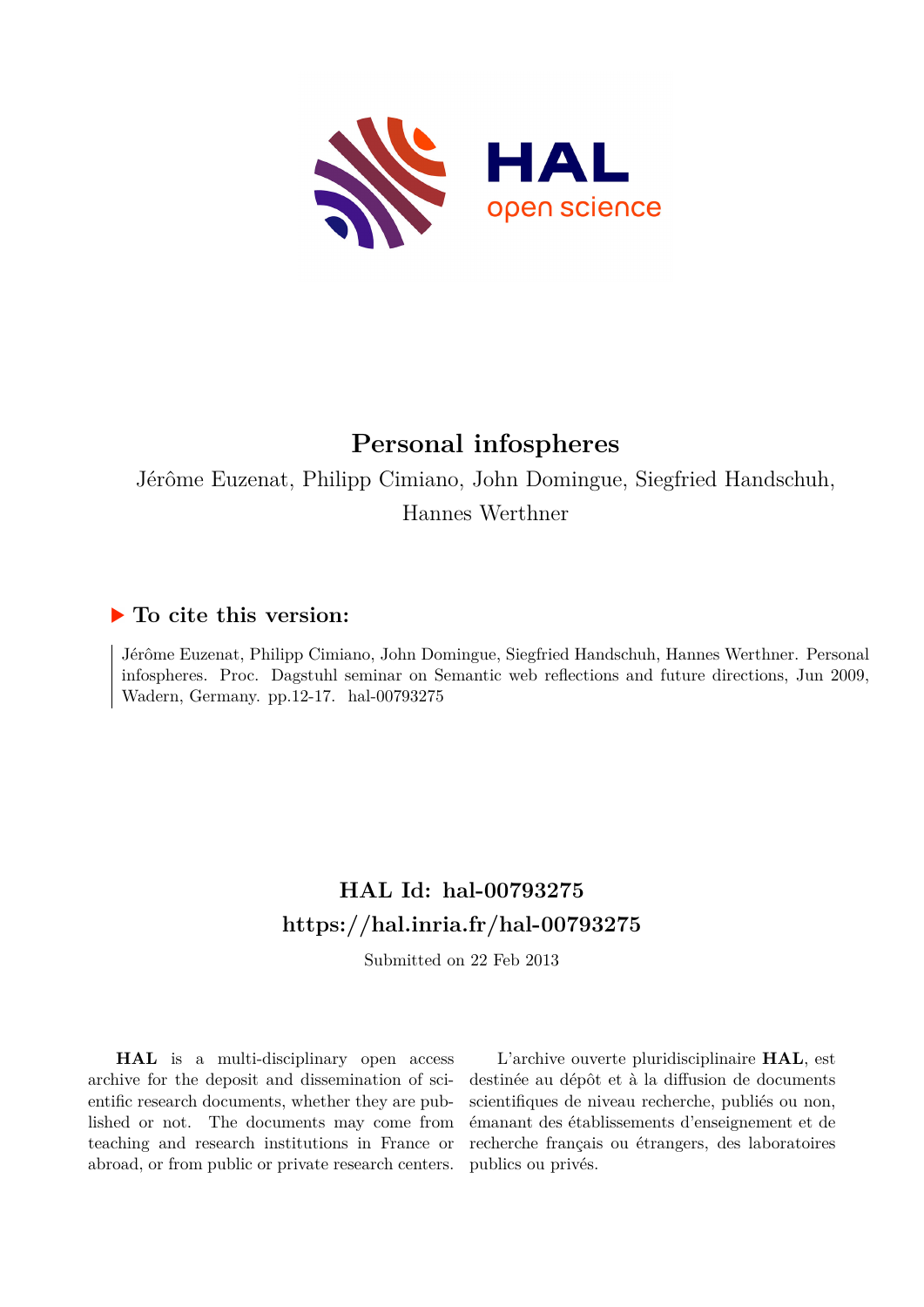

# **Personal infospheres**

Jérôme Euzenat, Philipp Cimiano, John Domingue, Siegfried Handschuh, Hannes Werthner

## **To cite this version:**

Jérôme Euzenat, Philipp Cimiano, John Domingue, Siegfried Handschuh, Hannes Werthner. Personal infospheres. Proc. Dagstuhl seminar on Semantic web reflections and future directions, Jun 2009, Wadern, Germany. pp.12-17. hal-00793275

# **HAL Id: hal-00793275 <https://hal.inria.fr/hal-00793275>**

Submitted on 22 Feb 2013

**HAL** is a multi-disciplinary open access archive for the deposit and dissemination of scientific research documents, whether they are published or not. The documents may come from teaching and research institutions in France or abroad, or from public or private research centers.

L'archive ouverte pluridisciplinaire **HAL**, est destinée au dépôt et à la diffusion de documents scientifiques de niveau recherche, publiés ou non, émanant des établissements d'enseignement et de recherche français ou étrangers, des laboratoires publics ou privés.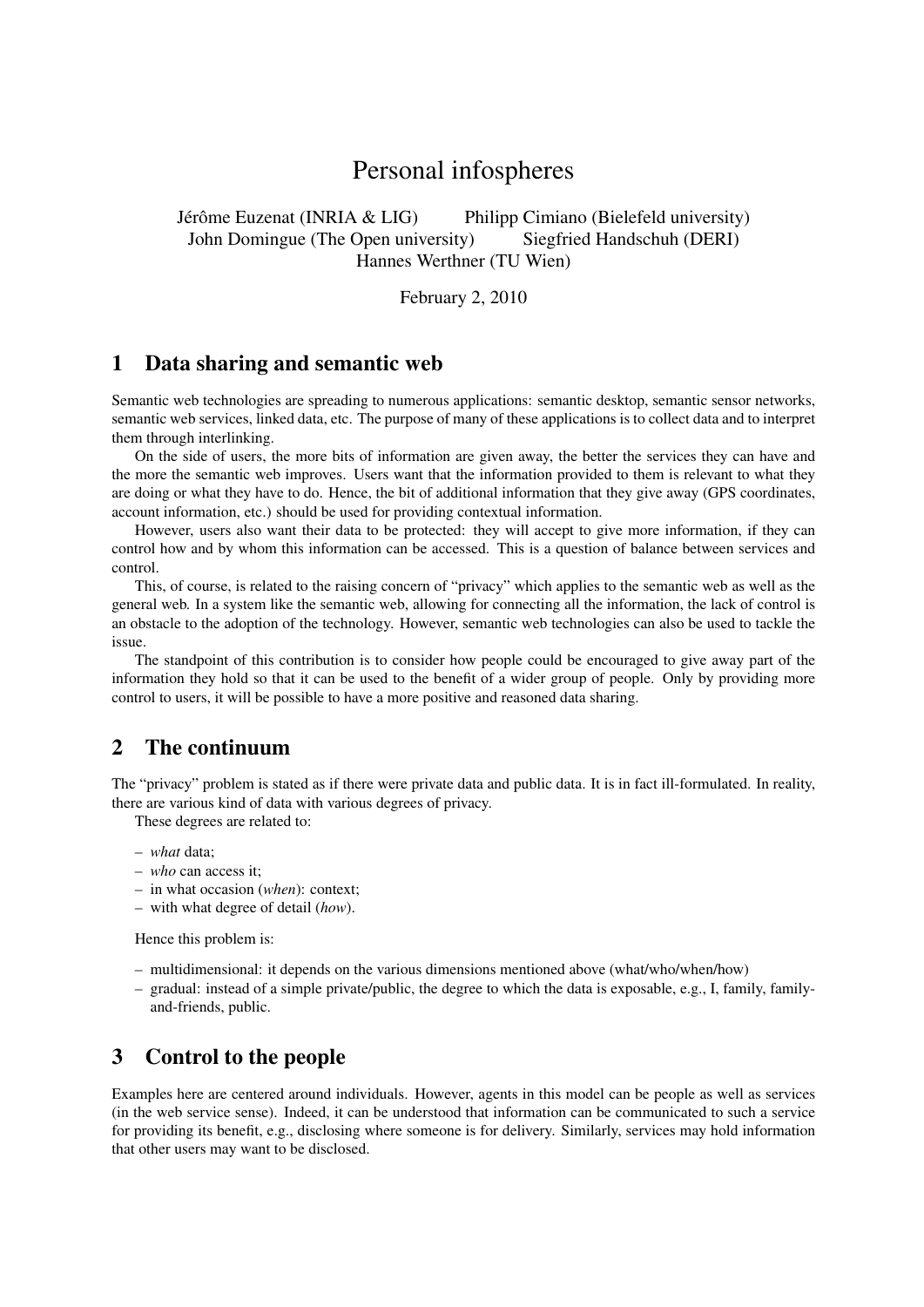# Personal infospheres

Jérôme Euzenat (INRIA & LIG) Philipp Cimiano (Bielefeld university) John Domingue (The Open university) Siegfried Handschuh (DERI) Hannes Werthner (TU Wien)

February 2, 2010

#### 1 Data sharing and semantic web

Semantic web technologies are spreading to numerous applications: semantic desktop, semantic sensor networks, semantic web services, linked data, etc. The purpose of many of these applications is to collect data and to interpret them through interlinking.

On the side of users, the more bits of information are given away, the better the services they can have and the more the semantic web improves. Users want that the information provided to them is relevant to what they are doing or what they have to do. Hence, the bit of additional information that they give away (GPS coordinates, account information, etc.) should be used for providing contextual information.

However, users also want their data to be protected: they will accept to give more information, if they can control how and by whom this information can be accessed. This is a question of balance between services and control.

This, of course, is related to the raising concern of "privacy" which applies to the semantic web as well as the general web. In a system like the semantic web, allowing for connecting all the information, the lack of control is an obstacle to the adoption of the technology. However, semantic web technologies can also be used to tackle the issue.

The standpoint of this contribution is to consider how people could be encouraged to give away part of the information they hold so that it can be used to the benefit of a wider group of people. Only by providing more control to users, it will be possible to have a more positive and reasoned data sharing.

#### 2 The continuum

The "privacy" problem is stated as if there were private data and public data. It is in fact ill-formulated. In reality, there are various kind of data with various degrees of privacy.

These degrees are related to:

- *what* data;
- *who* can access it;
- in what occasion (*when*): context;
- with what degree of detail (*how*).

Hence this problem is:

- multidimensional: it depends on the various dimensions mentioned above (what/who/when/how)
- gradual: instead of a simple private/public, the degree to which the data is exposable, e.g., I, family, familyand-friends, public.

#### 3 Control to the people

Examples here are centered around individuals. However, agents in this model can be people as well as services (in the web service sense). Indeed, it can be understood that information can be communicated to such a service for providing its benefit, e.g., disclosing where someone is for delivery. Similarly, services may hold information that other users may want to be disclosed.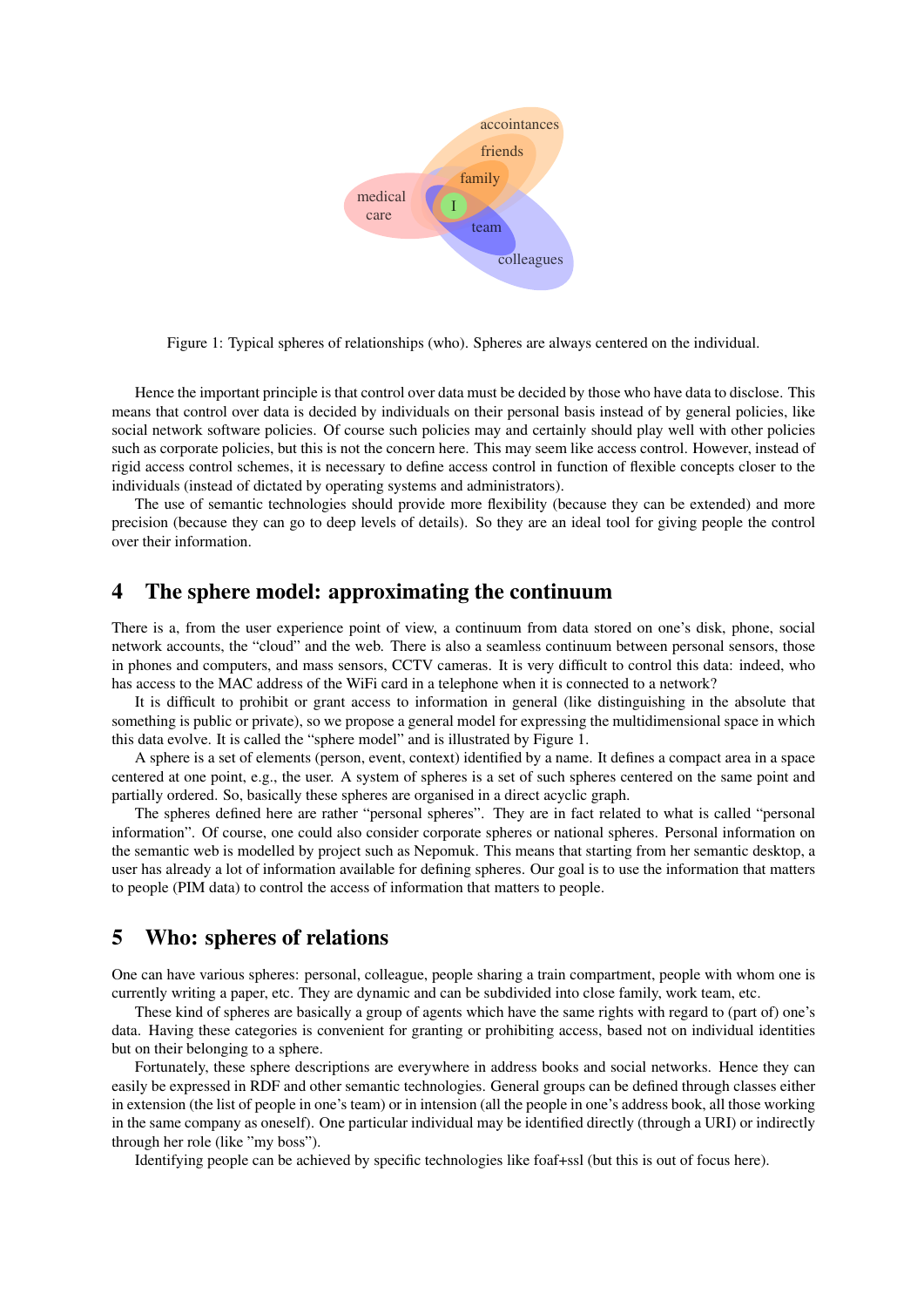

Figure 1: Typical spheres of relationships (who). Spheres are always centered on the individual.

Hence the important principle is that control over data must be decided by those who have data to disclose. This means that control over data is decided by individuals on their personal basis instead of by general policies, like social network software policies. Of course such policies may and certainly should play well with other policies such as corporate policies, but this is not the concern here. This may seem like access control. However, instead of rigid access control schemes, it is necessary to define access control in function of flexible concepts closer to the individuals (instead of dictated by operating systems and administrators).

The use of semantic technologies should provide more flexibility (because they can be extended) and more precision (because they can go to deep levels of details). So they are an ideal tool for giving people the control over their information.

#### 4 The sphere model: approximating the continuum

There is a, from the user experience point of view, a continuum from data stored on one's disk, phone, social network accounts, the "cloud" and the web. There is also a seamless continuum between personal sensors, those in phones and computers, and mass sensors, CCTV cameras. It is very difficult to control this data: indeed, who has access to the MAC address of the WiFi card in a telephone when it is connected to a network?

It is difficult to prohibit or grant access to information in general (like distinguishing in the absolute that something is public or private), so we propose a general model for expressing the multidimensional space in which this data evolve. It is called the "sphere model" and is illustrated by Figure 1.

A sphere is a set of elements (person, event, context) identified by a name. It defines a compact area in a space centered at one point, e.g., the user. A system of spheres is a set of such spheres centered on the same point and partially ordered. So, basically these spheres are organised in a direct acyclic graph.

The spheres defined here are rather "personal spheres". They are in fact related to what is called "personal information". Of course, one could also consider corporate spheres or national spheres. Personal information on the semantic web is modelled by project such as Nepomuk. This means that starting from her semantic desktop, a user has already a lot of information available for defining spheres. Our goal is to use the information that matters to people (PIM data) to control the access of information that matters to people.

#### 5 Who: spheres of relations

One can have various spheres: personal, colleague, people sharing a train compartment, people with whom one is currently writing a paper, etc. They are dynamic and can be subdivided into close family, work team, etc.

These kind of spheres are basically a group of agents which have the same rights with regard to (part of) one's data. Having these categories is convenient for granting or prohibiting access, based not on individual identities but on their belonging to a sphere.

Fortunately, these sphere descriptions are everywhere in address books and social networks. Hence they can easily be expressed in RDF and other semantic technologies. General groups can be defined through classes either in extension (the list of people in one's team) or in intension (all the people in one's address book, all those working in the same company as oneself). One particular individual may be identified directly (through a URI) or indirectly through her role (like "my boss").

Identifying people can be achieved by specific technologies like foaf+ssl (but this is out of focus here).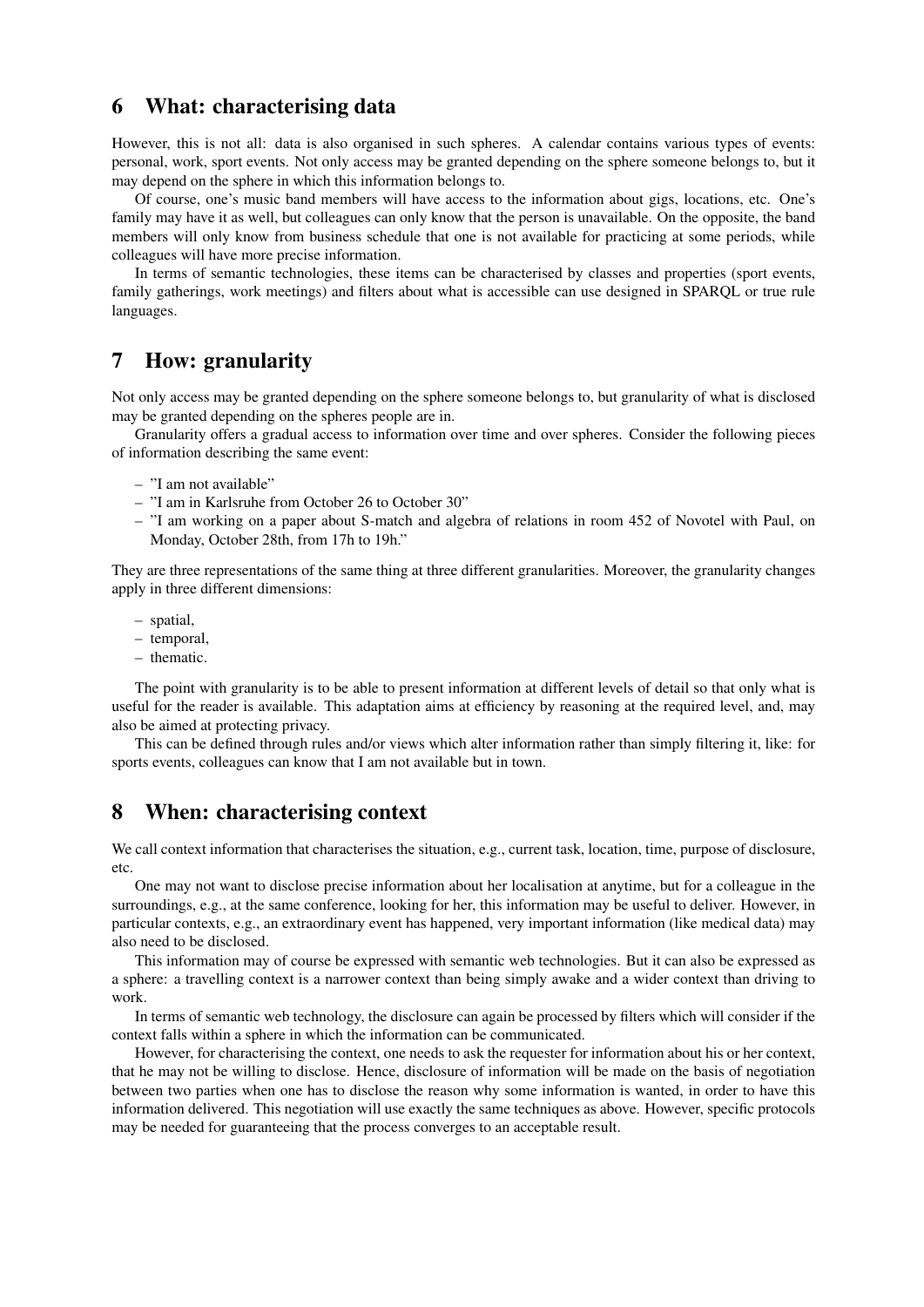#### 6 What: characterising data

However, this is not all: data is also organised in such spheres. A calendar contains various types of events: personal, work, sport events. Not only access may be granted depending on the sphere someone belongs to, but it may depend on the sphere in which this information belongs to.

Of course, one's music band members will have access to the information about gigs, locations, etc. One's family may have it as well, but colleagues can only know that the person is unavailable. On the opposite, the band members will only know from business schedule that one is not available for practicing at some periods, while colleagues will have more precise information.

In terms of semantic technologies, these items can be characterised by classes and properties (sport events, family gatherings, work meetings) and filters about what is accessible can use designed in SPARQL or true rule languages.

#### 7 How: granularity

Not only access may be granted depending on the sphere someone belongs to, but granularity of what is disclosed may be granted depending on the spheres people are in.

Granularity offers a gradual access to information over time and over spheres. Consider the following pieces of information describing the same event:

- "I am not available"
- "I am in Karlsruhe from October 26 to October 30"
- "I am working on a paper about S-match and algebra of relations in room 452 of Novotel with Paul, on Monday, October 28th, from 17h to 19h."

They are three representations of the same thing at three different granularities. Moreover, the granularity changes apply in three different dimensions:

- spatial,
- temporal,
- thematic.

The point with granularity is to be able to present information at different levels of detail so that only what is useful for the reader is available. This adaptation aims at efficiency by reasoning at the required level, and, may also be aimed at protecting privacy.

This can be defined through rules and/or views which alter information rather than simply filtering it, like: for sports events, colleagues can know that I am not available but in town.

#### 8 When: characterising context

We call context information that characterises the situation, e.g., current task, location, time, purpose of disclosure, etc.

One may not want to disclose precise information about her localisation at anytime, but for a colleague in the surroundings, e.g., at the same conference, looking for her, this information may be useful to deliver. However, in particular contexts, e.g., an extraordinary event has happened, very important information (like medical data) may also need to be disclosed.

This information may of course be expressed with semantic web technologies. But it can also be expressed as a sphere: a travelling context is a narrower context than being simply awake and a wider context than driving to work.

In terms of semantic web technology, the disclosure can again be processed by filters which will consider if the context falls within a sphere in which the information can be communicated.

However, for characterising the context, one needs to ask the requester for information about his or her context, that he may not be willing to disclose. Hence, disclosure of information will be made on the basis of negotiation between two parties when one has to disclose the reason why some information is wanted, in order to have this information delivered. This negotiation will use exactly the same techniques as above. However, specific protocols may be needed for guaranteeing that the process converges to an acceptable result.